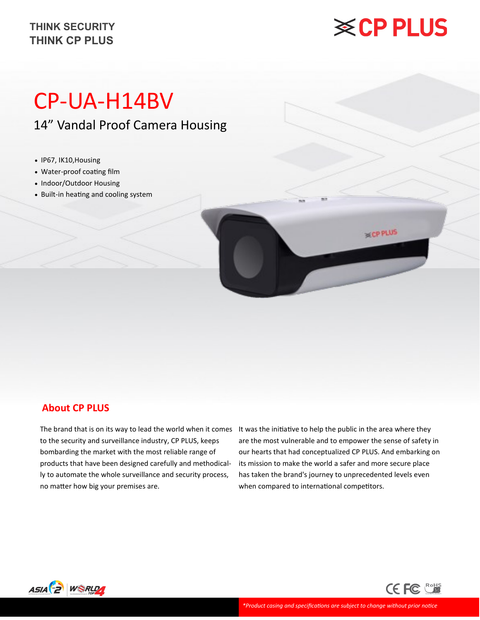#### **THINK CP PLUS THINK SECURITY**

## **※CP PLUS**

**BECPPLUS** 

### CP-UA-H14BV

14" Vandal Proof Camera Housing

- IP67, IK10,Housing
- Water-proof coating film
- Indoor/Outdoor Housing
- Built-in heating and cooling system

#### **About CP PLUS**

to the security and surveillance industry, CP PLUS, keeps bombarding the market with the most reliable range of products that have been designed carefully and methodically to automate the whole surveillance and security process, no matter how big your premises are.

The brand that is on its way to lead the world when it comes It was the initiative to help the public in the area where they are the most vulnerable and to empower the sense of safety in our hearts that had conceptualized CP PLUS. And embarking on its mission to make the world a safer and more secure place has taken the brand's journey to unprecedented levels even when compared to international competitors.